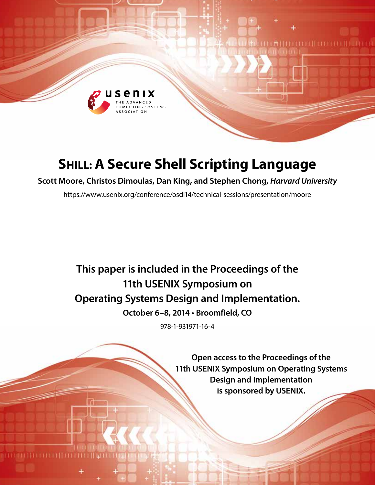

# **SHILL: A Secure Shell Scripting Language**

**Scott Moore, Christos Dimoulas, Dan King, and Stephen Chong,** *Harvard University*

https://www.usenix.org/conference/osdi14/technical-sessions/presentation/moore

# **This paper is included in the Proceedings of the 11th USENIX Symposium on Operating Systems Design and Implementation.**

**October 6–8, 2014 • Broomfield, CO**

978-1-931971-16-4

**Open access to the Proceedings of the 11th USENIX Symposium on Operating Systems Design and Implementation is sponsored by USENIX.**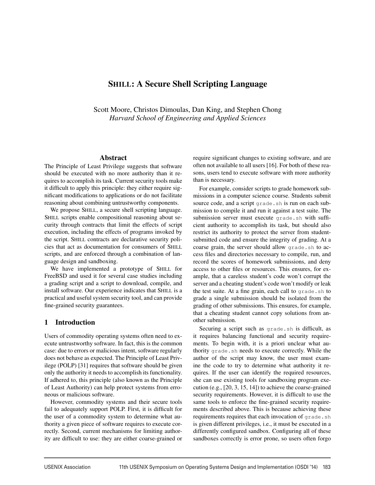# SHILL: A Secure Shell Scripting Language

Scott Moore, Christos Dimoulas, Dan King, and Stephen Chong *Harvard School of Engineering and Applied Sciences*

#### Abstract

The Principle of Least Privilege suggests that software should be executed with no more authority than it requires to accomplish its task. Current security tools make it difficult to apply this principle: they either require significant modifications to applications or do not facilitate reasoning about combining untrustworthy components.

We propose SHILL, a secure shell scripting language. SHILL scripts enable compositional reasoning about security through contracts that limit the effects of script execution, including the effects of programs invoked by the script. SHILL contracts are declarative security policies that act as documentation for consumers of SHILL scripts, and are enforced through a combination of language design and sandboxing.

We have implemented a prototype of SHILL for FreeBSD and used it for several case studies including a grading script and a script to download, compile, and install software. Our experience indicates that SHILL is a practical and useful system security tool, and can provide fine-grained security guarantees.

## 1 Introduction

Users of commodity operating systems often need to execute untrustworthy software. In fact, this is the common case: due to errors or malicious intent, software regularly does not behave as expected. The Principle of Least Privilege (POLP) [31] requires that software should be given only the authority it needs to accomplish its functionality. If adhered to, this principle (also known as the Principle of Least Authority) can help protect systems from erroneous or malicious software.

However, commodity systems and their secure tools fail to adequately support POLP. First, it is difficult for the user of a commodity system to determine what authority a given piece of software requires to execute correctly. Second, current mechanisms for limiting authority are difficult to use: they are either coarse-grained or

require significant changes to existing software, and are often not available to all users [16]. For both of these reasons, users tend to execute software with more authority than is necessary.

For example, consider scripts to grade homework submissions in a computer science course. Students submit source code, and a script grade.sh is run on each submission to compile it and run it against a test suite. The submission server must execute grade.sh with sufficient authority to accomplish its task, but should also restrict its authority to protect the server from studentsubmitted code and ensure the integrity of grading. At a coarse grain, the server should allow grade.sh to access files and directories necessary to compile, run, and record the scores of homework submissions, and deny access to other files or resources. This ensures, for example, that a careless student's code won't corrupt the server and a cheating student's code won't modify or leak the test suite. At a fine grain, each call to grade.sh to grade a single submission should be isolated from the grading of other submissions. This ensures, for example, that a cheating student cannot copy solutions from another submission.

Securing a script such as grade.sh is difficult, as it requires balancing functional and security requirements. To begin with, it is a priori unclear what authority grade.sh needs to execute correctly. While the author of the script may know, the user must examine the code to try to determine what authority it requires. If the user can identify the required resources, she can use existing tools for sandboxing program execution (e.g., [20, 3, 15, 14]) to achieve the coarse-grained security requirements. However, it is difficult to use the same tools to enforce the fine-grained security requirements described above. This is because achieving these requirements requires that each invocation of grade.sh is given different privileges, i.e., it must be executed in a differently configured sandbox. Configuring all of these sandboxes correctly is error prone, so users often forgo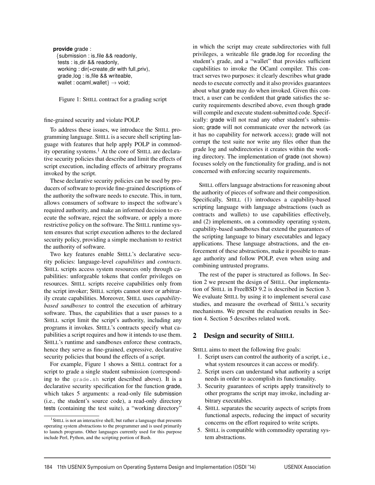**provide** grade : {submission : is file && readonly, tests : is dir && readonly, working : dir(+create\_dir with full\_priv), grade log : is file && writeable, wallet : ocaml\_wallet $\} \rightarrow$  void;

Figure 1: SHILL contract for a grading script

#### fine-grained security and violate POLP.

To address these issues, we introduce the SHILL programming language. SHILL is a secure shell scripting language with features that help apply POLP in commodity operating systems.<sup>1</sup> At the core of SHILL are declarative security policies that describe and limit the effects of script execution, including effects of arbitrary programs invoked by the script.

These declarative security policies can be used by producers of software to provide fine-grained descriptions of the authority the software needs to execute. This, in turn, allows consumers of software to inspect the software's required authority, and make an informed decision to execute the software, reject the software, or apply a more restrictive policy on the software. The SHILL runtime system ensures that script execution adheres to the declared security policy, providing a simple mechanism to restrict the authority of software.

Two key features enable SHILL's declarative security policies: language-level *capabilities* and *contracts*. SHILL scripts access system resources only through capabilities: unforgeable tokens that confer privileges on resources. SHILL scripts receive capabilities only from the script invoker; SHILL scripts cannot store or arbitrarily create capabilities. Moreover, SHILL uses *capabilitybased sandboxes* to control the execution of arbitrary software. Thus, the capabilities that a user passes to a SHILL script limit the script's authority, including any programs it invokes. SHILL's contracts specify what capabilities a script requires and how it intends to use them. SHILL's runtime and sandboxes enforce these contracts, hence they serve as fine-grained, expressive, declarative security policies that bound the effects of a script.

For example, Figure 1 shows a SHILL contract for a script to grade a single student submission (corresponding to the grade.sh script described above). It is a declarative security specification for the function grade, which takes 5 arguments: a read-only file submission (i.e., the student's source code), a read-only directory tests (containing the test suite), a "working directory" in which the script may create subdirectories with full privileges, a writeable file grade log for recording the student's grade, and a "wallet" that provides sufficient capabilities to invoke the OCaml compiler. This contract serves two purposes: it clearly describes what grade needs to execute correctly and it also provides guarantees about what grade may do when invoked. Given this contract, a user can be confident that grade satisfies the security requirements described above, even though grade will compile and execute student-submitted code. Specifically: grade will not read any other student's submission; grade will not communicate over the network (as it has no capability for network access); grade will not corrupt the test suite nor write any files other than the grade log and subdirectories it creates within the working directory. The implementation of grade (not shown) focuses solely on the functionality for grading, and is not concerned with enforcing security requirements.

SHILL offers language abstractions for reasoning about the authority of pieces of software and their composition. Specifically, SHILL (1) introduces a capability-based scripting language with language abstractions (such as contracts and wallets) to use capabilities effectively, and (2) implements, on a commodity operating system, capability-based sandboxes that extend the guarantees of the scripting language to binary executables and legacy applications. These language abstractions, and the enforcement of these abstractions, make it possible to manage authority and follow POLP, even when using and combining untrusted programs.

The rest of the paper is structured as follows. In Section 2 we present the design of SHILL. Our implementation of SHILL in FreeBSD 9.2 is described in Section 3. We evaluate SHILL by using it to implement several case studies, and measure the overhead of SHILL's security mechanisms. We present the evaluation results in Section 4. Section 5 describes related work.

## 2 Design and security of SHILL

SHILL aims to meet the following five goals:

- 1. Script users can control the authority of a script, i.e., what system resources it can access or modify.
- 2. Script users can understand what authority a script needs in order to accomplish its functionality.
- 3. Security guarantees of scripts apply transitively to other programs the script may invoke, including arbitrary executables.
- 4. SHILL separates the security aspects of scripts from functional aspects, reducing the impact of security concerns on the effort required to write scripts.
- 5. SHILL is compatible with commodity operating system abstractions.

<sup>&</sup>lt;sup>1</sup> SHILL is not an interactive shell, but rather a language that presents operating system abstractions to the programmer and is used primarily to launch programs. Other languages currently used for this purpose include Perl, Python, and the scripting portion of Bash.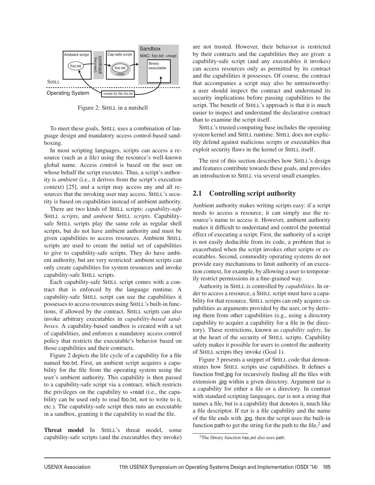

Figure 2: SHILL in a nutshell

To meet these goals, SHILL uses a combination of language design and mandatory access control-based sandboxing.

In most scripting languages, scripts can access a resource (such as a file) using the resource's well-known global name. Access control is based on the user on whose behalf the script executes. Thus, a script's authority is *ambient* (i.e., it derives from the script's execution context) [25], and a script may access any and all resources that the invoking user may access. SHILL's security is based on capabilities instead of ambient authority.

There are two kinds of SHILL scripts: *capability-safe* SHILL *scripts*, and *ambient* SHILL *scripts*. Capabilitysafe SHILL scripts play the same role as regular shell scripts, but do not have ambient authority and must be given capabilities to access resources. Ambient SHILL scripts are used to create the initial set of capabilities to give to capability-safe scripts. They do have ambient authority, but are very restricted: ambient scripts can only create capabilities for system resources and invoke capability-safe SHILL scripts.

Each capability-safe SHILL script comes with a contract that is enforced by the language runtime. A capability-safe SHILL script can use the capabilities it possesses to access resources using SHILL's built-in functions, if allowed by the contract. SHILL scripts can also invoke arbitrary executables in *capability-based sandboxes*. A capability-based sandbox is created with a set of capabilities, and enforces a mandatory access control policy that restricts the executable's behavior based on those capabilities and their contracts.

Figure 2 depicts the life cycle of a capability for a file named foo.txt. First, an ambient script acquires a capability for the file from the operating system using the user's ambient authority. This capability is then passed to a capability-safe script via a contract, which restricts the privileges on the capability to +read (i.e., the capability can be used only to read foo.txt, not to write to it, etc.). The capability-safe script then runs an executable in a sandbox, granting it the capability to read the file.

Threat model In SHILL's threat model, some capability-safe scripts (and the executables they invoke) are not trusted. However, their behavior is restricted by their contracts and the capabilities they are given: a capability-safe script (and any executables it invokes) can access resources only as permitted by its contract and the capabilities it possesses. Of course, the contract that accompanies a script may also be untrustworthy: a user should inspect the contract and understand its security implications before passing capabilities to the script. The benefit of SHILL's approach is that it is much easier to inspect and understand the declarative contract than to examine the script itself.

SHILL's trusted computing base includes the operating system kernel and SHILL runtime. SHILL does not explicitly defend against malicious scripts or executables that exploit security flaws in the kernel or SHILL itself.

The rest of this section describes how SHILL's design and features contribute towards these goals, and provides an introduction to SHILL via several small examples.

## 2.1 Controlling script authority

Ambient authority makes writing scripts easy: if a script needs to access a resource, it can simply use the resource's name to access it. However, ambient authority makes it difficult to understand and control the potential effect of executing a script. First, the authority of a script is not easily deducible from its code, a problem that is exacerbated when the script invokes other scripts or executables. Second, commodity operating systems do not provide easy mechanisms to limit authority of an execution context, for example, by allowing a user to temporarily restrict permissions in a fine-grained way.

Authority in SHILL is controlled by *capabilities*. In order to access a resource, a SHILL script must have a capability for that resource. SHILL scripts can only acquire capabilities as arguments provided by the user, or by deriving them from other capabilities (e.g., using a directory capability to acquire a capability for a file in the directory). These restrictions, known as *capability safety*, lie at the heart of the security of SHILL scripts. Capability safety makes it possible for users to control the authority of SHILL scripts they invoke (Goal 1).

Figure 3 presents a snippet of SHILL code that demonstrates how SHILL scripts use capabilities. It defines a function find jpg for recursively finding all the files with extension .jpg within a given directory. Argument cur is a capability for either a file or a directory. In contrast with standard scripting languages, cur is not a string that names a file, but is a capability that denotes it, much like a file descriptor. If cur is a file capability and the name of the file ends with .jpg, then the script uses the built-in function path to get the string for the path to the file, $<sup>2</sup>$  and</sup>

<sup>&</sup>lt;sup>2</sup>The library function has\_ext also uses path.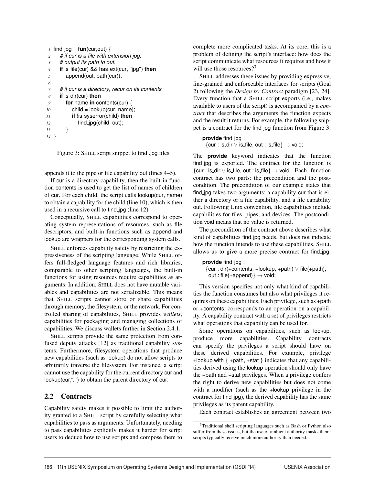```
1 find \log = \tan(\text{cur}, \text{out}) {<br>2 # if cur is a file with example
      2 # if cur is a file with extension jpg,
3 # output its path to out.
4 if is file(cur) && has ext(cur, ''jpg'') then
5 append(out, path(cur));
6
7 # if cur is a directory, recur on its contents
8 if is dir(cur) then
9 for name in contents(cur) {
           child = lookup(cur, name);
11 if !is syserror(child) then
12 find jpg(child, out);
13 }
14 }
```
Figure 3: SHILL script snippet to find .jpg files

appends it to the pipe or file capability out (lines 4–5).

If cur is a directory capability, then the built-in function contents is used to get the list of names of children of cur. For each child, the script calls lookup(cur, name) to obtain a capability for the child (line 10), which is then used in a recursive call to find jpg (line 12).

Conceptually, SHILL capabilities correspond to operating system representations of resources, such as file descriptors, and built-in functions such as append and lookup are wrappers for the corresponding system calls.

SHILL enforces capability safety by restricting the expressiveness of the scripting language. While SHILL offers full-fledged language features and rich libraries, comparable to other scripting languages, the built-in functions for using resources require capabilities as arguments. In addition, SHILL does not have mutable variables and capabilities are not serializable. This means that SHILL scripts cannot store or share capabilities through memory, the filesystem, or the network. For controlled sharing of capabilities, SHILL provides *wallets*, capabilities for packaging and managing collections of capabilities. We discuss wallets further in Section 2.4.1.

SHILL scripts provide the same protection from confused deputy attacks [12] as traditional capability systems. Furthermore, filesystem operations that produce new capabilities (such as lookup) do not allow scripts to arbitrarily traverse the filesystem. For instance, a script cannot use the capability for the current directory cur and lookup(cur,"..") to obtain the parent directory of cur.

# 2.2 Contracts

Capability safety makes it possible to limit the authority granted to a SHILL script by carefully selecting what capabilities to pass as arguments. Unfortunately, needing to pass capabilities explicitly makes it harder for script users to deduce how to use scripts and compose them to

complete more complicated tasks. At its core, this is a problem of defining the script's interface: how does the script communicate what resources it requires and how it will use those resources?<sup>3</sup>

SHILL addresses these issues by providing expressive, fine-grained and enforceable interfaces for scripts (Goal 2) following the *Design by Contract* paradigm [23, 24]. Every function that a SHILL script exports (i.e., makes available to users of the script) is accompanied by a *contract* that describes the arguments the function expects and the result it returns. For example, the following snippet is a contract for the find jpg function from Figure 3:

## **provide** find jpg :

 ${cur : is\_dir \vee is\_file, out : is\_file} \rightarrow void;$ 

The **provide** keyword indicates that the function find jpg is exported. The contract for the function is  ${cur : is\_dir \vee is\_file, out : is\_file} \rightarrow void. Each function$ contract has two parts: the precondition and the postcondition. The precondition of our example states that find jpg takes two arguments: a capability cur that is either a directory or a file capability, and a file capability out. Following Unix convention, file capabilities include capabilities for files, pipes, and devices. The postcondition void means that no value is returned.

The precondition of the contract above describes what kind of capabilities find jpg needs, but does not indicate how the function intends to use these capabilities. SHILL allows us to give a more precise contract for find jpg:

```
provide find jpg :
 {cur : dir(+contents, +lookup, +path) ∨ file(+path),
  out : file(+append)} \rightarrow void;
```
This version specifies not only what kind of capabilities the function consumes but also what privileges it requires on these capabilities. Each privilege, such as +path or +contents, corresponds to an operation on a capability. A capability contract with a set of privileges restricts what operations that capability can be used for.

Some operations on capabilities, such as lookup, produce more capabilities. Capability contracts can specify the privileges a script should have on these derived capabilities. For example, privilege +lookup with  $\{ +path, +stat \}$  indicates that any capabilities derived using the lookup operation should only have the +path and +stat privileges. When a privilege confers the right to derive new capabilities but does not come with a modifier (such as the +lookup privilege in the contract for find jpg), the derived capability has the same privileges as its parent capability.

Each contract establishes an agreement between two

<sup>3</sup>Traditional shell scripting languages such as Bash or Python also suffer from these issues, but the use of ambient authority masks them: scripts typically receive much more authority than needed.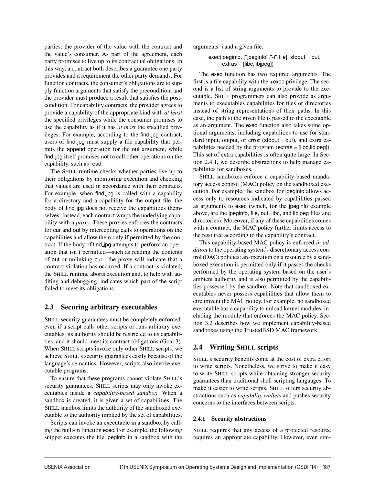parties: the provider of the value with the contract and the value's consumer. As part of the agreement, each party promises to live up to its contractual obligations. In this way, a contract both describes a guarantee one party provides and a requirement the other party demands. For function contracts, the consumer's obligations are to supply function arguments that satisfy the precondition, and the provider must produce a result that satisfies the postcondition. For capability contracts, the provider agrees to provide a capability of the appropriate kind with *at least* the specified privileges while the consumer promises to use the capability as if it has *at most* the specified privileges. For example, according to the find jpg contract, users of find jpg must supply a file capability that permits the append operation for the out argument, while find jpg itself promises not to call other operations on the capability, such as read.

The SHILL runtime checks whether parties live up to their obligations by monitoring execution and checking that values are used in accordance with their contracts. For example, when find jpg is called with a capability for a directory and a capability for the output file, the body of find jpg does not receive the capabilities themselves. Instead, each contract wraps the underlying capability with a *proxy*. These proxies enforces the contracts for cur and out by intercepting calls to operations on the capabilities and allow them only if permitted by the contract. If the body of find jpg attempts to perform an operation that isn't permitted—such as reading the contents of out or unlinking cur—the proxy will indicate that a contract violation has occurred. If a contract is violated, the SHILL runtime aborts execution and, to help with auditing and debugging, indicates which part of the script failed to meet its obligations.

# 2.3 Securing arbitrary executables

SHILL security guarantees must be completely enforced: even if a script calls other scripts or runs arbitrary executables, its authority should be restricted to its capabilities, and it should meet its contract obligations (Goal 3). When SHILL scripts invoke only other SHILL scripts, we achieve SHILL's security guarantees easily because of the language's semantics. However, scripts also invoke executable programs.

To ensure that these programs cannot violate SHILL's security guarantees, SHILL scripts may only invoke executables inside a *capability-based sandbox*. When a sandbox is created, it is given a set of capabilities. The SHILL sandbox limits the authority of the sandboxed executable to the authority implied by the set of capabilities.

Scripts can invoke an executable in a sandbox by calling the built-in function exec. For example, the following snippet executes the file jpeginfo in a sandbox with the arguments -i and a given file:

## exec(jpeginfo, [''jpeginfo'',''-i'',file], stdout = out, extras = [libc,libjpeg])

The exec function has two required arguments. The first is a file capability with the +exec privilege. The second is a list of string arguments to provide to the executable. SHILL programmers can also provide as arguments to executables capabilities for files or directories instead of string representations of their paths. In this case, the path to the given file is passed to the executable as an argument. The exec function also takes some optional arguments, including capabilities to use for standard input, output, or error (stdout = out), and extra capabilities needed by the program (extras = [libc,libjpeg]). This set of extra capabilities is often quite large. In Section 2.4.1, we describe abstractions to help manage capabilities for sandboxes.

SHILL sandboxes enforce a capability-based mandatory access control (MAC) policy on the sandboxed execution. For example, the sandbox for jpeginfo allows access only to resources indicated by capabilities passed as arguments to exec (which, for the jpeginfo example above, are the jpeginfo, file, out, libc, and libjpeg files and directories). Moreover, if any of these capabilities comes with a contract, the MAC policy further limits access to the resource according to the capability's contract.

This capability-based MAC policy is enforced *in addition* to the operating system's discretionary access control (DAC) policies: an operation on a resource by a sandboxed execution is permitted only if it passes the checks performed by the operating system based on the user's ambient authority and is also permitted by the capabilities possessed by the sandbox. Note that sandboxed executables never possess capabilities that allow them to circumvent the MAC policy. For example, no sandboxed executable has a capability to unload kernel modules, including the module that enforces the MAC policy. Section 3.2 describes how we implement capability-based sandboxes using the TrustedBSD MAC framework.

# 2.4 Writing SHILL scripts

SHILL's security benefits come at the cost of extra effort to write scripts. Nonetheless, we strive to make it easy to write SHILL scripts while obtaining stronger security guarantees than traditional shell scripting languages. To make it easier to write scripts, SHILL offers security abstractions such as *capability wallets* and pushes security concerns to the interfaces between scripts.

# 2.4.1 Security abstractions

SHILL requires that any access of a protected resource requires an appropriate capability. However, even sim-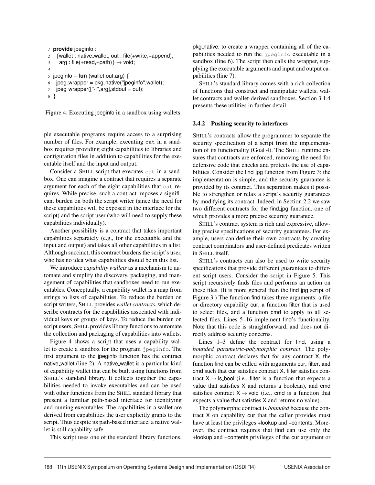```
1 provide jpeginfo :
2 {wallet : native_wallet, out : file(+write,+append),<br>\frac{3}{2} arg : file(+read,+path)} \rightarrow void:
      arg : file(+read, +path) \rightarrow void;
4
\bar{s} jpeginfo = fun (wallet, out, arg) {
6 jpeg_wrapper = pkg_native("jpeginfo", wallet);
    ipeg_wrapper(["-i",arg],stdout = out);
8 }
```
Figure 4: Executing jpeginfo in a sandbox using wallets

ple executable programs require access to a surprising number of files. For example, executing cat in a sandbox requires providing eight capabilities to libraries and configuration files in addition to capabilities for the executable itself and the input and output.

Consider a SHILL script that executes cat in a sandbox. One can imagine a contract that requires a separate argument for each of the eight capabilities that cat requires. While precise, such a contract imposes a significant burden on both the script writer (since the need for these capabilities will be exposed in the interface for the script) and the script user (who will need to supply these capabilities individually).

Another possibility is a contract that takes important capabilities separately (e.g., for the executable and the input and output) and takes all other capabilities in a list. Although succinct, this contract burdens the script's user, who has no idea what capabilities should be in this list.

We introduce *capability wallets* as a mechanism to automate and simplify the discovery, packaging, and management of capabilities that sandboxes need to run executables. Conceptually, a capability wallet is a map from strings to lists of capabilities. To reduce the burden on script writers, SHILL provides *wallet contracts*, which describe contracts for the capabilities associated with individual keys or groups of keys. To reduce the burden on script users, SHILL provides library functions to automate the collection and packaging of capabilities into wallets.

Figure 4 shows a script that uses a capability wallet to create a sandbox for the program jpeginfo. The first argument to the jpeginfo function has the contract native wallet (line 2). A native wallet is a particular kind of capability wallet that can be built using functions from SHILL's standard library. It collects together the capabilities needed to invoke executables and can be used with other functions from the SHILL standard library that present a familiar path-based interface for identifying and running executables. The capabilities in a wallet are derived from capabilities the user explicitly grants to the script. Thus despite its path-based interface, a native wallet is still capability safe.

This script uses one of the standard library functions,

pkg native, to create a wrapper containing all of the capabilities needed to run the jpeginfo executable in a sandbox (line 6). The script then calls the wrapper, supplying the executable arguments and input and output capabilities (line 7).

SHILL's standard library comes with a rich collection of functions that construct and manipulate wallets, wallet contracts and wallet-derived sandboxes. Section 3.1.4 presents these utilities in further detail.

#### 2.4.2 Pushing security to interfaces

SHILL's contracts allow the programmer to separate the security specification of a script from the implementation of its functionality (Goal 4). The SHILL runtime ensures that contracts are enforced, removing the need for defensive code that checks and protects the use of capabilities. Consider the find jpg function from Figure 3: the implementation is simple, and the security guarantee is provided by its contract. This separation makes it possible to strengthen or relax a script's security guarantees by modifying its contract. Indeed, in Section 2.2 we saw two different contracts for the find jpg function, one of which provides a more precise security guarantee.

SHILL's contract system is rich and expressive, allowing precise specifications of security guarantees. For example, users can define their own contracts by creating contract combinators and user-defined predicates written in SHILL itself.

SHILL's contracts can also be used to write security specifications that provide different guarantees to different script users. Consider the script in Figure 5. This script recursively finds files and performs an action on these files. (It is more general than the find jpg script of Figure 3.) The function find takes three arguments: a file or directory capability cur, a function filter that is used to select files, and a function cmd to apply to all selected files. Lines 5–16 implement find's functionality. Note that this code is straightforward, and does not directly address security concerns.

Lines 1–3 define the contract for find, using a *bounded parametric-polymorphic contract*. The polymorphic contract declares that for any contract X, the function find can be called with arguments cur, filter, and cmd such that cur satisfies contract X, filter satisfies contract  $X \rightarrow$  is bool (i.e., filter is a function that expects a value that satisfies X and returns a boolean), and cmd satisfies contract  $X \rightarrow \nu$  void (i.e., cmd is a function that expects a value that satisfies X and returns no value).

The polymorphic contract is *bounded* because the contract X on capability cur that the caller provides must have at least the privileges +lookup and +contents. Moreover, the contract requires that find can use only the +lookup and +contents privileges of the cur argument or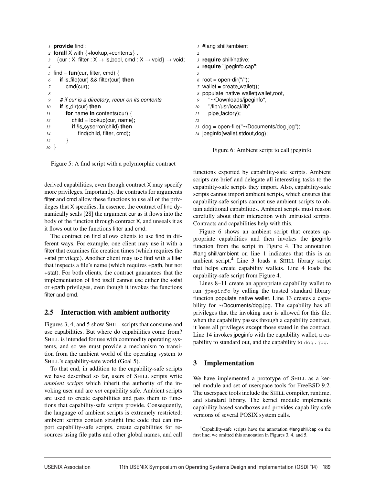```
1 provide find :
 2 forall X with \{\text{+lookup}, \text{+contents}\}.<br>
\{\text{cur}: \text{X}, \text{filter}: \text{X} \rightarrow \text{is bool}, \text{cmd}: \text{X} \rightarrow \text{if } \text{mod} \}{curl : X, filter : X \rightarrow is\_bool, cmd : X \rightarrow void} \rightarrow void;4
\frac{5}{6} find = fun(cur, filter, cmd) {<br>\frac{6}{6} if is file(cur) && filter(cur)
        6 if is file(cur) && filter(cur) then
 7 cmd(cur);
 8
9 # if cur is a directory, recur on its contents
10 if is dir(cur) then
11 for name in contents(cur) {<br>12 child = lookup(cur, name)
                 child = lookup(cur, name);
13 if !is syserror(child) then
14 find(child, filter, cmd);
15 }
16 }
```
Figure 5: A find script with a polymorphic contract

derived capabilities, even though contract X may specify more privileges. Importantly, the contracts for arguments filter and cmd allow these functions to use all of the privileges that X specifies. In essence, the contract of find dynamically seals [28] the argument cur as it flows into the body of the function through contract X, and unseals it as it flows out to the functions filter and cmd.

The contract on find allows clients to use find in different ways. For example, one client may use it with a filter that examines file creation times (which requires the +stat privilege). Another client may use find with a filter that inspects a file's name (which requires +path, but not +stat). For both clients, the contract guarantees that the implementation of find itself cannot use either the +stat or +path privileges, even though it invokes the functions filter and cmd.

# 2.5 Interaction with ambient authority

Figures 3, 4, and 5 show SHILL scripts that consume and use capabilities. But where do capabilities come from? SHILL is intended for use with commodity operating systems, and so we must provide a mechanism to transition from the ambient world of the operating system to SHILL's capability-safe world (Goal 5).

To that end, in addition to the capability-safe scripts we have described so far, users of SHILL scripts write *ambient scripts* which inherit the authority of the invoking user and are *not* capability safe. Ambient scripts are used to create capabilities and pass them to functions that capability-safe scripts provide. Consequently, the language of ambient scripts is extremely restricted: ambient scripts contain straight line code that can import capability-safe scripts, create capabilities for resources using file paths and other global names, and call

```
1 #lang shill/ambient
2
3 require shill/native;
 4 require ''jpeginfo.cap'';
5
6 root = open-dir("/");
 7 wallet = create_wallet();
8 populate native wallet(wallet,root,
9 ''~/Downloads/jpeginfo'',
10 ''/lib:/usr/local/lib'',
11 pipe factory);
12
13 dog = open-file(''~/Documents/dog.jpg'');
14 jpeginfo(wallet,stdout,dog);
```
Figure 6: Ambient script to call jpeginfo

functions exported by capability-safe scripts. Ambient scripts are brief and delegate all interesting tasks to the capability-safe scripts they import. Also, capability-safe scripts cannot import ambient scripts, which ensures that capability-safe scripts cannot use ambient scripts to obtain additional capabilities. Ambient scripts must reason carefully about their interaction with untrusted scripts. Contracts and capabilities help with this.

Figure 6 shows an ambient script that creates appropriate capabilities and then invokes the jpeginfo function from the script in Figure 4. The annotation #lang shill/ambient on line 1 indicates that this is an ambient script.4 Line 3 loads a SHILL library script that helps create capability wallets. Line 4 loads the capability-safe script from Figure 4.

Lines 8–11 create an appropriate capability wallet to run jpeginfo by calling the trusted standard library function populate native wallet. Line 13 creates a capability for ~/Documents/dog.jpg. The capability has all privileges that the invoking user is allowed for this file; when the capability passes through a capability contract, it loses all privileges except those stated in the contract. Line 14 invokes jpeginfo with the capability wallet, a capability to standard out, and the capability to dog.jpg.

# 3 Implementation

We have implemented a prototype of SHILL as a kernel module and set of userspace tools for FreeBSD 9.2. The userspace tools include the SHILL compiler, runtime, and standard library. The kernel module implements capability-based sandboxes and provides capability-safe versions of several POSIX system calls.

<sup>4</sup>Capability-safe scripts have the annotation #lang shill/cap on the first line; we omitted this annotation in Figures 3, 4, and 5.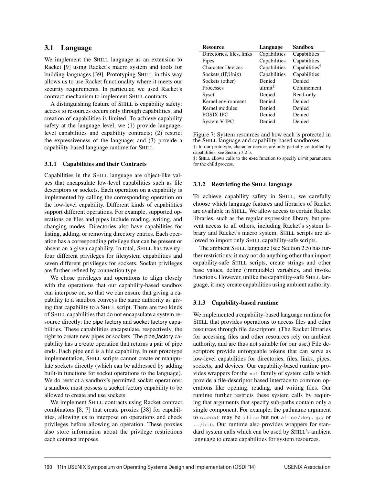# 3.1 Language

We implement the SHILL language as an extension to Racket [9] using Racket's macro system and tools for building languages [39]. Prototyping SHILL in this way allows us to use Racket functionality where it meets our security requirements. In particular, we used Racket's contract mechanism to implement SHILL contracts.

A distinguishing feature of SHILL is capability safety: access to resources occurs only through capabilities, and creation of capabilities is limited. To achieve capability safety at the language level, we (1) provide languagelevel capabilities and capability contracts; (2) restrict the expressiveness of the language; and (3) provide a capability-based language runtime for SHILL.

### 3.1.1 Capabilities and their Contracts

Capabilities in the SHILL language are object-like values that encapsulate low-level capabilities such as file descriptors or sockets. Each operation on a capability is implemented by calling the corresponding operation on the low-level capability. Different kinds of capabilities support different operations. For example, supported operations on files and pipes include reading, writing, and changing modes. Directories also have capabilities for listing, adding, or removing directory entries. Each operation has a corresponding privilege that can be present or absent on a given capability. In total, SHILL has twentyfour different privileges for filesystem capabilities and seven different privileges for sockets. Socket privileges are further refined by connection type.

We chose privileges and operations to align closely with the operations that our capability-based sandbox can interpose on, so that we can ensure that giving a capability to a sandbox conveys the same authority as giving that capability to a SHILL script. There are two kinds of SHILL capabilities that do not encapsulate a system resource directly: the pipe factory and socket factory capabilities. These capabilities encapsulate, respectively, the right to create new pipes or sockets. The pipe factory capability has a create operation that returns a pair of pipe ends. Each pipe end is a file capability. In our prototype implementation, SHILL scripts cannot create or manipulate sockets directly (which can be addressed by adding built-in functions for socket operations to the language). We do restrict a sandbox's permitted socket operations: a sandbox must possess a socket factory capability to be allowed to create and use sockets.

We implement SHILL contracts using Racket contract combinators [8, 7] that create proxies [38] for capabilities, allowing us to interpose on operations and check privileges before allowing an operation. These proxies also store information about the privilege restrictions each contract imposes.

| <b>Resource</b>           | Language            | <b>Sandbox</b>            |
|---------------------------|---------------------|---------------------------|
| Directories, files, links | Capabilities        | Capabilities              |
| Pipes                     | Capabilities        | Capabilities              |
| <b>Character Devices</b>  | Capabilities        | Capabilities <sup>†</sup> |
| Sockets (IP, Unix)        | Capabilities        | Capabilities              |
| Sockets (other)           | Denied              | Denied                    |
| Processes                 | ulimit <sup>‡</sup> | Confinement               |
| Sysctl                    | Denied              | Read-only                 |
| Kernel environment        | Denied              | Denied                    |
| Kernel modules            | Denied              | Denied                    |
| <b>POSIX IPC</b>          | Denied              | Denied                    |
| System V IPC              | Denied              | Denied                    |

Figure 7: System resources and how each is protected in the SHILL language and capability-based sandboxes. †: In our prototype, character devices are only partially controlled by capabilities, see Section 3.2.3.

‡: SHILL allows calls to the exec function to specify ulimit parameters for the child process.

### 3.1.2 Restricting the SHILL language

To achieve capability safety in SHILL, we carefully choose which language features and libraries of Racket are available in SHILL. We allow access to certain Racket libraries, such as the regular expression library, but prevent access to all others, including Racket's system library and Racket's macro system. SHILL scripts are allowed to import only SHILL capability-safe scripts.

The ambient SHILL language (see Section 2.5) has further restrictions: it may not do anything other than import capability-safe SHILL scripts, create strings and other base values, define (immutable) variables, and invoke functions. However, unlike the capability-safe SHILL language, it may create capabilities using ambient authority.

#### 3.1.3 Capability-based runtime

We implemented a capability-based language runtime for SHILL that provides operations to access files and other resources through file descriptors. (The Racket libraries for accessing files and other resources rely on ambient authority, and are thus not suitable for our use.) File descriptors provide unforgeable tokens that can serve as low-level capabilities for directories, files, links, pipes, sockets, and devices. Our capability-based runtime provides wrappers for the  $\star$  at family of system calls which provide a file-descriptor based interface to common operations like opening, reading, and writing files. Our runtime further restricts these system calls by requiring that arguments that specify sub-paths contain only a single component. For example, the pathname argument to openat may be alice but not alice/dog.jpg or ../bob. Our runtime also provides wrappers for standard system calls which can be used by SHILL's ambient language to create capabilities for system resources.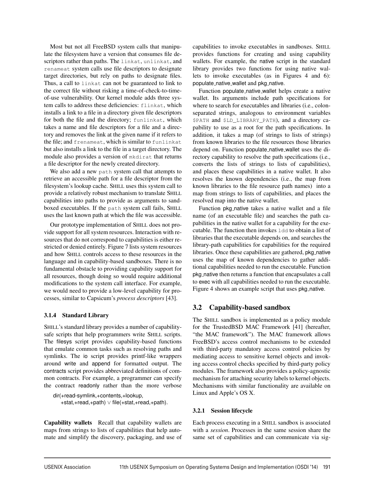Most but not all FreeBSD system calls that manipulate the filesystem have a version that consumes file descriptors rather than paths. The linkat, unlinkat, and renameat system calls use file descriptors to designate target directories, but rely on paths to designate files. Thus, a call to linkat can not be guaranteed to link to the correct file without risking a time-of-check-to-timeof-use vulnerability. Our kernel module adds three system calls to address these deficiencies: flinkat, which installs a link to a file in a directory given file descriptors for both the file and the directory; funlinkat, which takes a name and file descriptors for a file and a directory and removes the link at the given name if it refers to the file; and frenameat, which is similar to funlinkat but also installs a link to the file in a target directory. The module also provides a version of mkdirat that returns a file descriptor for the newly created directory.

We also add a new path system call that attempts to retrieve an accessible path for a file descriptor from the filesystem's lookup cache. SHILL uses this system call to provide a relatively robust mechanism to translate SHILL capabilities into paths to provide as arguments to sandboxed executables. If the path system call fails, SHILL uses the last known path at which the file was accessible.

Our prototype implementation of SHILL does not provide support for all system resources. Interaction with resources that do not correspond to capabilities is either restricted or denied entirely. Figure 7 lists system resources and how SHILL controls access to these resources in the language and in capability-based sandboxes. There is no fundamental obstacle to providing capability support for all resources, though doing so would require additional modifications to the system call interface. For example, we would need to provide a low-level capability for processes, similar to Capsicum's *process descriptors* [43].

## 3.1.4 Standard Library

SHILL's standard library provides a number of capabilitysafe scripts that help programmers write SHILL scripts. The filesys script provides capability-based functions that emulate common tasks such as resolving paths and symlinks. The io script provides printf-like wrappers around write and append for formatted output. The contracts script provides abbreviated definitions of common contracts. For example, a programmer can specify the contract readonly rather than the more verbose

```
dir(+read-symlink,+contents,+lookup,
   +stat,+read,+path) ∨ file(+stat,+read,+path).
```
Capability wallets Recall that capability wallets are maps from strings to lists of capabilities that help automate and simplify the discovery, packaging, and use of capabilities to invoke executables in sandboxes. SHILL provides functions for creating and using capability wallets. For example, the native script in the standard library provides two functions for using native wallets to invoke executables (as in Figures 4 and 6): populate\_native\_wallet and pkg\_native.

Function populate native wallet helps create a native wallet. Its arguments include path specifications for where to search for executables and libraries *(i.e., colon*separated strings, analogous to environment variables \$PATH and \$LD\_LIBRARY\_PATH), and a directory capability to use as a root for the path specifications. In addition, it takes a map (of strings to lists of strings) from known libraries to the file resources those libraries depend on. Function populate native wallet uses the directory capability to resolve the path specifications (i.e., converts the lists of strings to lists of capabilities), and places these capabilities in a native wallet. It also resolves the known dependencies (i.e., the map from known libraries to the file resource path names) into a map from strings to lists of capabilities, and places the resolved map into the native wallet.

Function pkg\_native takes a native wallet and a file name (of an executable file) and searches the path capabilities in the native wallet for a capability for the executable. The function then invokes ldd to obtain a list of libraries that the executable depends on, and searches the library-path capabilities for capabilities for the required libraries. Once these capabilities are gathered, pkg\_native uses the map of known dependencies to gather additional capabilities needed to run the executable. Function pkg native then returns a function that encapsulates a call to exec with all capabilities needed to run the executable. Figure 4 shows an example script that uses pkg\_native.

# 3.2 Capability-based sandbox

The SHILL sandbox is implemented as a policy module for the TrustedBSD MAC Framework [41] (hereafter, "the MAC framework"). The MAC framework allows FreeBSD's access control mechanisms to be extended with third-party mandatory access control policies by mediating access to sensitive kernel objects and invoking access control checks specified by third-party policy modules. The framework also provides a policy-agnostic mechanism for attaching security labels to kernel objects. Mechanisms with similar functionality are available on Linux and Apple's OS X.

## 3.2.1 Session lifecycle

Each process executing in a SHILL sandbox is associated with a *session*. Processes in the same session share the same set of capabilities and can communicate via sig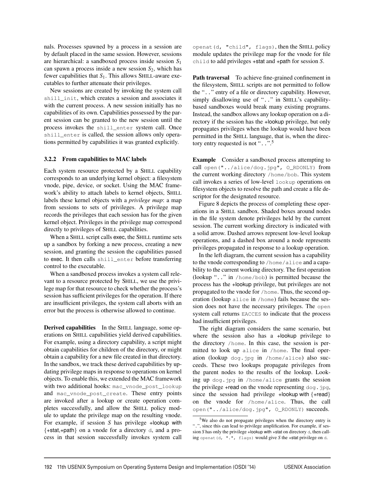nals. Processes spawned by a process in a session are by default placed in the same session. However, sessions are hierarchical: a sandboxed process inside session *S*<sup>1</sup> can spawn a process inside a new session  $S_2$ , which has fewer capabilities that *S*1. This allows SHILL-aware executables to further attenuate their privileges.

New sessions are created by invoking the system call shill\_init, which creates a session and associates it with the current process. A new session initially has no capabilities of its own. Capabilities possessed by the parent session can be granted to the new session until the process invokes the shill\_enter system call. Once shill\_enter is called, the session allows only operations permitted by capabilities it was granted explicitly.

#### 3.2.2 From capabilities to MAC labels

Each system resource protected by a SHILL capability corresponds to an underlying kernel object: a filesystem vnode, pipe, device, or socket. Using the MAC framework's ability to attach labels to kernel objects, SHILL labels these kernel objects with a *privilege map*: a map from sessions to sets of privileges. A privilege map records the privileges that each session has for the given kernel object. Privileges in the privilege map correspond directly to privileges of SHILL capabilities.

When a SHILL script calls exec, the SHILL runtime sets up a sandbox by forking a new process, creating a new session, and granting the session the capabilities passed to exec. It then calls shill\_enter before transferring control to the executable.

When a sandboxed process invokes a system call relevant to a resource protected by SHILL, we use the privilege map for that resource to check whether the process's session has sufficient privileges for the operation. If there are insufficient privileges, the system call aborts with an error but the process is otherwise allowed to continue.

Derived capabilities In the SHILL language, some operations on SHILL capabilities yield derived capabilities. For example, using a directory capability, a script might obtain capabilities for children of the directory, or might obtain a capability for a new file created in that directory. In the sandbox, we track these derived capabilities by updating privilege maps in response to operations on kernel objects. To enable this, we extended the MAC framework with two additional hooks: mac\_vnode\_post\_lookup and mac\_vnode\_post\_create. These entry points are invoked after a lookup or create operation completes successfully, and allow the SHILL policy module to update the privilege map on the resulting vnode. For example, if session *S* has privilege +lookup with {+stat,+path} on a vnode for a directory d, and a process in that session successfully invokes system call openat(d, "child", flags), then the SHILL policy module updates the privilege map for the vnode for file child to add privileges +stat and +path for session *S*.

Path traversal To achieve fine-grained confinement in the filesystem, SHILL scripts are not permitted to follow the ".." entry of a file or directory capability. However, simply disallowing use of "..." in SHILL's capabilitybased sandboxes would break many existing programs. Instead, the sandbox allows any lookup operation on a directory if the session has the +lookup privilege, but only propagates privileges when the lookup would have been permitted in the SHILL language, that is, when the directory entry requested is not "...".<sup>5</sup>

Example Consider a sandboxed process attempting to call open("../alice/dog.jpg", O\_RDONLY) from the current working directory /home/bob. This system call invokes a series of low-level lookup operations on filesystem objects to resolve the path and create a file descriptor for the designated resource.

Figure 8 depicts the process of completing these operations in a SHILL sandbox. Shaded boxes around nodes in the file system denote privileges held by the current session. The current working directory is indicated with a solid arrow. Dashed arrows represent low-level lookup operations, and a dashed box around a node represents privileges propagated in response to a lookup operation.

In the left diagram, the current session has a capability to the vnode corresponding to /home/alice and a capability to the current working directory. The first operation (lookup ".." in /home/bob) is permitted because the process has the +lookup privilege, but privileges are not propagated to the vnode for /home. Thus, the second operation (lookup alice in /home) fails because the session does not have the necessary privileges. The open system call returns EACCES to indicate that the process had insufficient privileges.

The right diagram considers the same scenario, but where the session also has a +lookup privilege to the directory /home. In this case, the session is permitted to look up alice in /home. The final operation (lookup dog.jpg in /home/alice) also succeeds. These two lookups propagate privileges from the parent nodes to the results of the lookup. Looking up dog.jpg in /home/alice grants the session the privilege +read on the vnode representing dog.jpg, since the session had privilege +lookup with  ${+}$ read} on the vnode for /home/alice. Thus, the call open("../alice/dog.jpg", O\_RDONLY) succeeds.

<sup>5</sup>We also do not propagate privileges when the directory entry is ".", since this can lead to privilege amplification. For example, if session *S* has only the privilege +lookup with +stat on directory d, then calling openat(d, ".", flags) would give *S* the +stat privilege on d.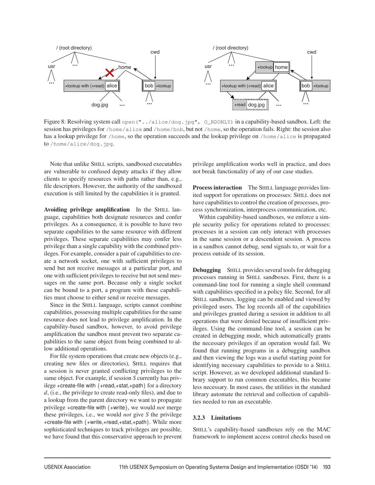

Figure 8: Resolving system call open ("../alice/dog.jpg", O\_RDONLY) in a capability-based sandbox. Left: the session has privileges for /home/alice and /home/bob, but not /home, so the operation fails. Right: the session also has a lookup privilege for /home, so the operation succeeds and the lookup privilege on /home/alice is propagated to /home/alice/dog.jpg.

Note that unlike SHILL scripts, sandboxed executables are vulnerable to confused deputy attacks if they allow clients to specify resources with paths rather than, e.g., file descriptors. However, the authority of the sandboxed execution is still limited by the capabilities it is granted.

Avoiding privilege amplification In the SHILL language, capabilities both designate resources and confer privileges. As a consequence, it is possible to have two separate capabilities to the same resource with different privileges. These separate capabilities may confer less privilege than a single capability with the combined privileges. For example, consider a pair of capabilities to create a network socket, one with sufficient privileges to send but not receive messages at a particular port, and one with sufficient privileges to receive but not send messages on the same port. Because only a single socket can be bound to a port, a program with these capabilities must choose to either send or receive messages.

Since in the SHILL language, scripts cannot combine capabilities, possessing multiple capabilities for the same resource does not lead to privilege amplification. In the capability-based sandbox, however, to avoid privilege amplification the sandbox must prevent two separate capabilities to the same object from being combined to allow additional operations.

For file system operations that create new objects (e.g., creating new files or directories), SHILL requires that a session is never granted conflicting privileges to the same object. For example, if session *S* currently has privilege +create-file with {+read,+stat,+path} for a directory *d*, (i.e., the privilege to create read-only files), and due to a lookup from the parent directory we want to propagate privilege +create-file with {+write}, we would *not* merge these privileges, i.e., we would *not* give *S* the privilege +create-file with {+write,+read,+stat,+path}. While more sophisticated techniques to track privileges are possible, we have found that this conservative approach to prevent privilege amplification works well in practice, and does not break functionality of any of our case studies.

Process interaction The SHILL language provides limited support for operations on processes: SHILL does not have capabilities to control the creation of processes, process synchronization, interprocess communication, etc.

Within capability-based sandboxes, we enforce a simple security policy for operations related to processes: processes in a session can only interact with processes in the same session or a descendent session. A process in a sandbox cannot debug, send signals to, or wait for a process outside of its session.

Debugging SHILL provides several tools for debugging processes running in SHILL sandboxes. First, there is a command-line tool for running a single shell command with capabilities specified in a policy file. Second, for all SHILL sandboxes, logging can be enabled and viewed by privileged users. The log records all of the capabilities and privileges granted during a session in addition to all operations that were denied because of insufficient privileges. Using the command-line tool, a session can be created in debugging mode, which automatically grants the necessary privileges if an operation would fail. We found that running programs in a debugging sandbox and then viewing the logs was a useful starting point for identifying necessary capabilities to provide to a SHILL script. However, as we developed additional standard library support to run common executables, this became less necessary. In most cases, the utilities in the standard library automate the retrieval and collection of capabilities needed to run an executable.

## 3.2.3 Limitations

SHILL's capability-based sandboxes rely on the MAC framework to implement access control checks based on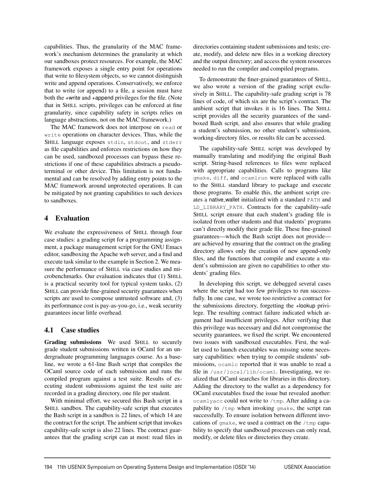capabilities. Thus, the granularity of the MAC framework's mechanism determines the granularity at which our sandboxes protect resources. For example, the MAC framework exposes a single entry point for operations that write to filesystem objects, so we cannot distinguish write and append operations. Conservatively, we enforce that to write (or append) to a file, a session must have both the +write and +append privileges for the file. (Note that in SHILL scripts, privileges can be enforced at fine granularity, since capability safety in scripts relies on language abstractions, not on the MAC framework.)

The MAC framework does not interpose on read or write operations on character devices. Thus, while the SHILL language exposes stdin, stdout, and stderr as file capabilities and enforces restrictions on how they can be used, sandboxed processes can bypass these restrictions if one of these capabilities abstracts a pseudoterminal or other device. This limitation is not fundamental and can be resolved by adding entry points to the MAC framework around unprotected operations. It can be mitigated by not granting capabilities to such devices to sandboxes.

# 4 Evaluation

We evaluate the expressiveness of SHILL through four case studies: a grading script for a programming assignment, a package management script for the GNU Emacs editor, sandboxing the Apache web server, and a find and execute task similar to the example in Section 2. We measure the performance of SHILL via case studies and microbenchmarks. Our evaluation indicates that (1) SHILL is a practical security tool for typical system tasks, (2) SHILL can provide fine-grained security guarantees when scripts are used to compose untrusted software and, (3) its performance cost is pay-as-you-go, i.e., weak security guarantees incur little overhead.

# 4.1 Case studies

Grading submissions We used SHILL to securely grade student submissions written in OCaml for an undergraduate programming languages course. As a baseline, we wrote a 61-line Bash script that compiles the OCaml source code of each submission and runs the compiled program against a test suite. Results of executing student submissions against the test suite are recorded in a grading directory, one file per student.

With minimal effort, we secured this Bash script in a SHILL sandbox. The capability-safe script that executes the Bash script in a sandbox is 22 lines, of which 14 are the contract for the script. The ambient script that invokes capability-safe script is also 22 lines. The contract guarantees that the grading script can at most: read files in directories containing student submissions and tests; create, modify, and delete new files in a working directory and the output directory; and access the system resources needed to run the compiler and compiled programs.

To demonstrate the finer-grained guarantees of SHILL, we also wrote a version of the grading script exclusively in SHILL. The capability-safe grading script is 78 lines of code, of which six are the script's contract. The ambient script that invokes it is 16 lines. The SHILL script provides all the security guarantees of the sandboxed Bash script, and also ensures that while grading a student's submission, no other student's submission, working-directory files, or results file can be accessed.

The capability-safe SHILL script was developed by manually translating and modifying the original Bash script. String-based references to files were replaced with appropriate capabilities. Calls to programs like gmake, diff, and ocamlrun were replaced with calls to the SHILL standard library to package and execute those programs. To enable this, the ambient script creates a native wallet initialized with a standard PATH and LD\_LIBRARY\_PATH. Contracts for the capability-safe SHILL script ensure that each student's grading file is isolated from other students and that students' programs can't directly modify their grade file. These fine-grained guarantees—which the Bash script does not provide are achieved by ensuring that the contract on the grading directory allows only the creation of new append-only files, and the functions that compile and execute a student's submission are given no capabilities to other students' grading files.

In developing this script, we debugged several cases where the script had too few privileges to run successfully. In one case, we wrote too restrictive a contract for the submissions directory, forgetting the +lookup privilege. The resulting contract failure indicated which argument had insufficient privileges. After verifying that this privilege was necessary and did not compromise the security guarantees, we fixed the script. We encountered two issues with sandboxed executables. First, the wallet used to launch executables was missing some necessary capabilities: when trying to compile students' submissions, ocamlc reported that it was unable to read a file in /usr/local/lib/ocaml. Investigating, we realized that OCaml searches for libraries in this directory. Adding the directory to the wallet as a dependency for OCaml executables fixed the issue but revealed another: ocamlyacc could not write to /tmp. After adding a capability to  $/\text{tmp}$  when invoking  $\text{qmake}$ , the script ran successfully. To ensure isolation between different invocations of gmake, we used a contract on the /tmp capability to specify that sandboxed processes can only read, modify, or delete files or directories they create.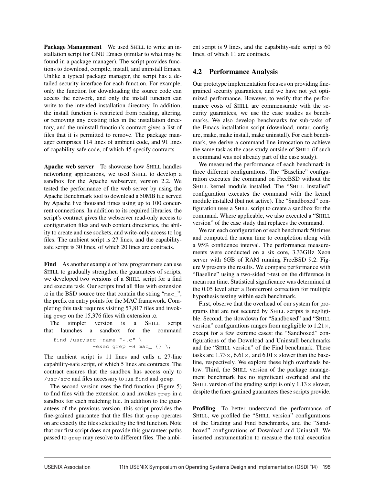Package Management We used SHILL to write an installation script for GNU Emacs (similar to what may be found in a package manager). The script provides functions to download, compile, install, and uninstall Emacs. Unlike a typical package manager, the script has a detailed security interface for each function. For example, only the function for downloading the source code can access the network, and only the install function can write to the intended installation directory. In addition, the install function is restricted from reading, altering, or removing any existing files in the installation directory, and the uninstall function's contract gives a list of files that it is permitted to remove. The package manager comprises 114 lines of ambient code, and 91 lines of capability-safe code, of which 45 specify contracts.

Apache web server To showcase how SHILL handles networking applications, we used SHILL to develop a sandbox for the Apache webserver, version 2.2. We tested the performance of the web server by using the Apache Benchmark tool to download a 50MB file served by Apache five thousand times using up to 100 concurrent connections. In addition to its required libraries, the script's contract gives the webserver read-only access to configuration files and web content directories, the ability to create and use sockets, and write-only access to log files. The ambient script is 27 lines, and the capabilitysafe script is 30 lines, of which 20 lines are contracts.

Find As another example of how programmers can use SHILL to gradually strengthen the guarantees of scripts, we developed two versions of a SHILL script for a find and execute task. Our scripts find all files with extension .c in the BSD source tree that contain the string "mac\_", the prefix on entry points for the MAC framework. Completing this task requires visiting 57,817 files and invoking grep on the 15,376 files with extension .c.

The simpler version is a SHILL script that launches a sandbox for the command

find /usr/src -name  $"\star.c"$  \ -exec grep  $-H$  mac\_ {} \;

The ambient script is 11 lines and calls a 27-line capability-safe script, of which 5 lines are contracts. The contract ensures that the sandbox has access only to /usr/src and files necessary to run find and grep.

The second version uses the find function (Figure 5) to find files with the extension .c and invokes grep in a sandbox for each matching file. In addition to the guarantees of the previous version, this script provides the fine-grained guarantee that the files that grep operates on are exactly the files selected by the find function. Note that our first script does not provide this guarantee: paths passed to grep may resolve to different files. The ambient script is 9 lines, and the capability-safe script is 60 lines, of which 11 are contracts.

# 4.2 Performance Analysis

Our prototype implementation focuses on providing finegrained security guarantees, and we have not yet optimized performance. However, to verify that the performance costs of SHILL are commensurate with the security guarantees, we use the case studies as benchmarks. We also develop benchmarks for sub-tasks of the Emacs installation script (download, untar, configure, make, make install, make uninstall). For each benchmark, we derive a command line invocation to achieve the same task as the case study outside of SHILL (if such a command was not already part of the case study).

We measured the performance of each benchmark in three different configurations. The "Baseline" configuration executes the command on FreeBSD without the SHILL kernel module installed. The "SHILL installed" configuration executes the command with the kernel module installed (but not active). The "Sandboxed" configuration uses a SHILL script to create a sandbox for the command. Where applicable, we also executed a "SHILL version" of the case study that replaces the command.

We ran each configuration of each benchmark 50 times and computed the mean time to completion along with a 95% confidence interval. The performance measurements were conducted on a six core, 3.33GHz Xeon server with 6GB of RAM running FreeBSD 9.2. Figure 9 presents the results. We compare performance with "Baseline" using a two-sided t-test on the difference in mean run time. Statistical significance was determined at the 0.05 level after a Bonferroni correction for multiple hypothesis testing within each benchmark.

First, observe that the overhead of our system for programs that are not secured by SHILL scripts is negligible. Second, the slowdown for "Sandboxed" and "SHILL version" configurations ranges from negligible to  $1.21 \times$ , except for a few extreme cases: the "Sandboxed" configurations of the Download and Uninstall benchmarks and the "SHILL version" of the Find benchmark. These tasks are  $1.73 \times$ ,  $6.61 \times$ , and  $6.01 \times$  slower than the baseline, respectively. We explore these high overheads below. Third, the SHILL version of the package management benchmark has no significant overhead and the SHILL version of the grading script is only  $1.13 \times$  slower, despite the finer-grained guarantees these scripts provide.

Profiling To better understand the performance of SHILL, we profiled the "SHILL version" configurations of the Grading and Find benchmarks, and the "Sandboxed" configurations of Download and Uninstall. We inserted instrumentation to measure the total execution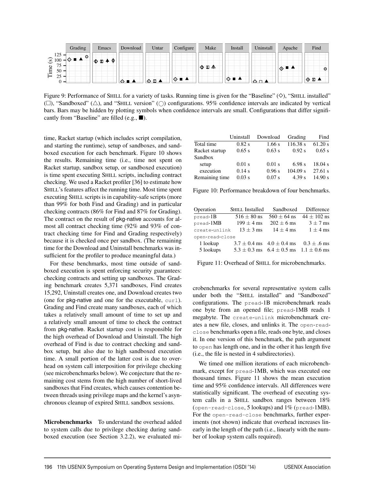|                    | Grading                                     | Emacs                       | Download       | Untar      | Configure | Make      | Install | Uninstall | Apache | Find    |
|--------------------|---------------------------------------------|-----------------------------|----------------|------------|-----------|-----------|---------|-----------|--------|---------|
| 125<br>$\odot$ 100 | $\circ$                                     | −Ф<br>$\blacksquare$ 4<br>O |                |            |           |           |         |           |        |         |
| Time               | 75.<br>ر.<br>50<br>$\overline{\phantom{0}}$ |                             |                |            |           | ΙФ Ф<br>ᅀ |         |           | ⋰◈▝▘   | $\odot$ |
|                    | 25<br>-                                     |                             | $\blacksquare$ | <b>⊙⊡▲</b> | फ़        |           | ◇■▲     |           |        | II ⊙ ⊡  |

Figure 9: Performance of SHILL for a variety of tasks. Running time is given for the "Baseline"  $(\diamond)$ , "SHILL installed"  $(\Box)$ , "Sandboxed" ( $\triangle$ ), and "SHILL version" ( $\bigcirc$ ) configurations. 95% confidence intervals are indicated by vertical bars. Bars may be hidden by plotting symbols when confidence intervals are small. Configurations that differ significantly from "Baseline" are filled (e.g.,  $\blacksquare$ ).

time, Racket startup (which includes script compilation, and starting the runtime), setup of sandboxes, and sandboxed execution for each benchmark. Figure 10 shows the results. Remaining time (i.e., time not spent on Racket startup, sandbox setup, or sandboxed execution) is time spent executing SHILL scripts, including contract checking. We used a Racket profiler [36] to estimate how SHILL's features affect the running time. Most time spent executing SHILL scripts is in capability-safe scripts (more than 99% for both Find and Grading) and in particular checking contracts (86% for Find and 87% for Grading). The contract on the result of pkg-native accounts for almost all contract checking time (92% and 93% of contract checking time for Find and Grading respectively) because it is checked once per sandbox. (The remaining time for the Download and Uninstall benchmarks was insufficient for the profiler to produce meaningful data.)

For these benchmarks, most time outside of sandboxed execution is spent enforcing security guarantees: checking contracts and setting up sandboxes. The Grading benchmark creates 5,371 sandboxes, Find creates 15,292, Uninstall creates one, and Download creates two (one for pkg-native and one for the executable, curl). Grading and Find create many sandboxes, each of which takes a relatively small amount of time to set up and a relatively small amount of time to check the contract from pkg-native. Racket startup cost is responsible for the high overhead of Download and Uninstall. The high overhead of Find is due to contract checking and sandbox setup, but also due to high sandboxed execution time. A small portion of the latter cost is due to overhead on system call interposition for privilege checking (see microbenchmarks below). We conjecture that the remaining cost stems from the high number of short-lived sandboxes that Find creates, which causes contention between threads using privilege maps and the kernel's asynchronous cleanup of expired SHILL sandbox sessions.

Microbenchmarks To understand the overhead added to system calls due to privilege checking during sandboxed execution (see Section 3.2.2), we evaluated mi-

|                | Uninstall | Download | Grading  | Find    |
|----------------|-----------|----------|----------|---------|
| Total time     | $0.82$ s  | 1.66 s   | 116.38 s | 61.20 s |
| Racket startup | 0.65 s    | 0.63 s   | 0.92 s   | 0.65 s  |
| Sandbox        |           |          |          |         |
| setup          | $0.01$ s  | $0.01$ s | 6.98 s   | 18.04 s |
| execution      | 0.14 s    | 0.96 s   | 104.09 s | 27.61 s |
| Remaining time | $0.03$ s  | $0.07$ s | 4.39 s   | 14.90 s |

Figure 10: Performance breakdown of four benchmarks.

| Operation       | <b>SHILL Installed</b> | Sandboxed                                          | Difference      |  |  |
|-----------------|------------------------|----------------------------------------------------|-----------------|--|--|
| $pread-B$       | $516 \pm 80$ ns        | $560 \pm 64$ ns                                    | $44 \pm 102$ ns |  |  |
| pread-1MB       | $199 \pm 4$ ms         | $202 \pm 6$ ms                                     | $3 \pm 7$ ms    |  |  |
| create-unlink   | $13 + 3$ ms            | $14 + 4$ ms                                        | $1 \pm 4$ ms    |  |  |
| open-read-close |                        |                                                    |                 |  |  |
| 1 lookup        |                        | $3.7 \pm 0.4$ ms $4.0 \pm 0.4$ ms                  | $0.3 + .6$ ms   |  |  |
| 5 lookups       |                        | $5.3 \pm 0.3$ ms $6.4 \pm 0.5$ ms $1.1 \pm 0.6$ ms |                 |  |  |

Figure 11: Overhead of SHILL for microbenchmarks.

crobenchmarks for several representative system calls under both the "SHILL installed" and "Sandboxed" configurations. The pread-1B microbenchmark reads one byte from an opened file; pread-1MB reads 1 megabyte. The create-unlink microbenchmark creates a new file, closes, and unlinks it. The open-readclose benchmarks open a file, reads one byte, and closes it. In one version of this benchmark, the path argument to open has length one, and in the other it has length five (i.e., the file is nested in 4 subdirectories).

We timed one million iterations of each microbenchmark, except for pread-1MB, which was executed one thousand times. Figure 11 shows the mean execution time and 95% confidence intervals. All differences were statistically significant. The overhead of executing system calls in a SHILL sandbox ranges between 18% (open-read-close, 5 lookups) and 1% (pread-1MB). For the open-read-close benchmarks, further experiments (not shown) indicate that overhead increases linearly in the length of the path (i.e., linearly with the number of lookup system calls required).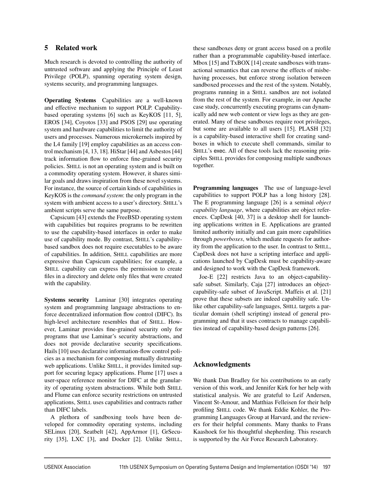# 5 Related work

Much research is devoted to controlling the authority of untrusted software and applying the Principle of Least Privilege (POLP), spanning operating system design, systems security, and programming languages.

Operating Systems Capabilities are a well-known and effective mechanism to support POLP. Capabilitybased operating systems [6] such as KeyKOS [11, 5], EROS [34], Coyotos [33] and PSOS [29] use operating system and hardware capabilities to limit the authority of users and processes. Numerous microkernels inspired by the L4 family [19] employ capabilities as an access control mechanism [4, 13, 18]. HiStar [44] and Asbestos [44] track information flow to enforce fine-grained security policies. SHILL is not an operating system and is built on a commodity operating system. However, it shares similar goals and draws inspiration from these novel systems. For instance, the source of certain kinds of capabilities in KeyKOS is the *command system*: the only program in the system with ambient access to a user's directory. SHILL's ambient scripts serve the same purpose.

Capsicum [43] extends the FreeBSD operating system with capabilities but requires programs to be rewritten to use the capability-based interfaces in order to make use of capability mode. By contrast, SHILL's capabilitybased sandbox does not require executables to be aware of capabilities. In addition, SHILL capabilities are more expressive than Capsicum capabilities; for example, a SHILL capability can express the permission to create files in a directory and delete only files that were created with the capability.

Systems security Laminar [30] integrates operating system and programming language abstractions to enforce decentralized information flow control (DIFC). Its high-level architecture resembles that of SHILL. However, Laminar provides fine-grained security only for programs that use Laminar's security abstractions, and does not provide declarative security specifications. Hails [10] uses declarative information-flow control policies as a mechanism for composing mutually distrusting web applications. Unlike SHILL, it provides limited support for securing legacy applications. Flume [17] uses a user-space reference monitor for DIFC at the granularity of operating system abstractions. While both SHILL and Flume can enforce security restrictions on untrusted applications, SHILL uses capabilities and contracts rather than DIFC labels.

A plethora of sandboxing tools have been developed for commodity operating systems, including SELinux [20], Seatbelt [42], AppArmor [1], GrSecurity [35], LXC [3], and Docker [2]. Unlike SHILL,

these sandboxes deny or grant access based on a profile rather than a programmable capability-based interface. Mbox [15] and TxBOX [14] create sandboxes with transactional semantics that can reverse the effects of misbehaving processes, but enforce strong isolation between sandboxed processes and the rest of the system. Notably, programs running in a SHILL sandbox are not isolated from the rest of the system. For example, in our Apache case study, concurrently executing programs can dynamically add new web content or view logs as they are generated. Many of these sandboxes require root privileges, but some are available to all users [15]. PLASH [32] is a capability-based interactive shell for creating sandboxes in which to execute shell commands, similar to SHILL's exec. All of these tools lack the reasoning principles SHILL provides for composing multiple sandboxes together.

Programming languages The use of language-level capabilities to support POLP has a long history [28]. The E programming language [26] is a seminal *object capability language*, where capabilities are object references. CapDesk [40, 37] is a desktop shell for launching applications written in E. Applications are granted limited authority initially and can gain more capabilities through *powerboxes*, which mediate requests for authority from the application to the user. In contrast to SHILL, CapDesk does not have a scripting interface and applications launched by CapDesk must be capability-aware and designed to work with the CapDesk framework.

Joe-E [22] restricts Java to an object-capabilitysafe subset. Similarly, Caja [27] introduces an objectcapability-safe subset of JavaScript. Maffeis et al. [21] prove that these subsets are indeed capability safe. Unlike other capability-safe languages, SHILL targets a particular domain (shell scripting) instead of general programming and that it uses contracts to manage capabilities instead of capability-based design patterns [26].

# Acknowledgments

We thank Dan Bradley for his contributions to an early version of this work, and Jennifer Kirk for her help with statistical analysis. We are grateful to Leif Andersen, Vincent St-Amour, and Matthias Felleisen for their help profiling SHILL code. We thank Eddie Kohler, the Programming Languages Group at Harvard, and the reviewers for their helpful comments. Many thanks to Frans Kaashoek for his thoughtful shepherding. This research is supported by the Air Force Research Laboratory.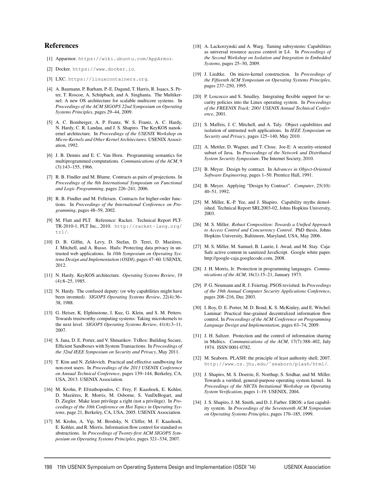## References

- [1] Apparmor. https://wiki.ubuntu.com/AppArmor.
- [2] Docker. https://www.docker.io.
- [3] LXC. https://linuxcontainers.org.
- [4] A. Baumann, P. Barham, P.-E. Dagand, T. Harris, R. Isaacs, S. Peter, T. Roscoe, A. Schüpbach, and A. Singhania. The Multikernel: A new OS architecture for scalable multicore systems. In *Proceedings of the ACM SIGOPS 22nd Symposium on Operating Systems Principles*, pages 29–44, 2009.
- [5] A. C. Bomberger, A. P. Frantz, W. S. Frantz, A. C. Hardy, N. Hardy, C. R. Landau, and J. S. Shapiro. The KeyKOS nanokernel architecture. In *Proceedings of the USENIX Workshop on Micro-Kernels and Other Kernel Architectures*. USENIX Association, 1992.
- [6] J. B. Dennis and E. C. Van Horn. Programming semantics for multiprogrammed computations. *Communications of the ACM*, 9 (3):143–155, 1966.
- [7] R. B. Findler and M. Blume. Contracts as pairs of projections. In *Proceedings of the 8th International Symposium on Functional and Logic Programming*, pages 226–241, 2006.
- [8] R. B. Findler and M. Felleisen. Contracts for higher-order functions. In *Proceedings of the International Conference on Programming*, pages 48–59, 2002.
- [9] M. Flatt and PLT. Reference: Racket. Technical Report PLT-TR-2010-1, PLT Inc., 2010. http://racket-lang.org/ tr1/.
- [10] D. B. Giffin, A. Levy, D. Stefan, D. Terei, D. Mazieres, ` J. Mitchell, and A. Russo. Hails: Protecting data privacy in untrusted web applications. In *10th Symposium on Operating Systems Design and Implementation (OSDI)*, pages 47–60. USENIX, 2012.
- [11] N. Hardy. KeyKOS architecture. *Operating Systems Review*, 19 (4):8–25, 1985.
- [12] N. Hardy. The confused deputy: (or why capabilities might have been invented). *SIGOPS Operating Systems Review*, 22(4):36– 38, 1988.
- [13] G. Heiser, K. Elphinstone, I. Kuz, G. Klein, and S. M. Petters. Towards trustworthy computing systems: Taking microkernels to the next level. *SIGOPS Operating Systems Review*, 41(4):3–11, 2007.
- [14] S. Jana, D. E. Porter, and V. Shmatikov. TxBox: Building Secure, Efficient Sandboxes with System Transactions. In *Proceedings of the 32nd IEEE Symposium on Security and Privacy*, May 2011.
- [15] T. Kim and N. Zeldovich. Practical and effective sandboxing for non-root users. In *Proceedings of the 2013 USENIX Conference on Annual Technical Conference*, pages 139–144, Berkeley, CA, USA, 2013. USENIX Association.
- [16] M. Krohn, P. Efstathopoulos, C. Frey, F. Kaashoek, E. Kohler, D. Mazieres, R. Morris, M. Osborne, S. VanDeBogart, and ` D. Ziegler. Make least privilege a right (not a privilege). In *Proceedings of the 10th Conference on Hot Topics in Operating Systems*, page 21, Berkeley, CA, USA, 2005. USENIX Association.
- [17] M. Krohn, A. Yip, M. Brodsky, N. Cliffer, M. F. Kaashoek, E. Kohler, and R. Morris. Information flow control for standard os abstractions. In *Proceedings of Twenty-first ACM SIGOPS Symposium on Operating Systems Principles*, pages 321–334, 2007.
- [18] A. Lackorzynski and A. Warg. Taming subsystems: Capabilities as universal resource access control in L4. In *Proceedings of the Second Workshop on Isolation and Integration in Embedded Systems*, pages 25–30, 2009.
- [19] J. Liedtke. On micro-kernel construction. In *Proceedings of the Fifteenth ACM Symposium on Operating Systems Principles*, pages 237–250, 1995.
- [20] P. Loscocco and S. Smalley. Integrating flexible support for security policies into the Linux operating system. In *Proceedings of the FREENIX Track: 2001 USENIX Annual Technical Conference*, 2001.
- [21] S. Maffeis, J. C. Mitchell, and A. Taly. Object capabilities and isolation of untrusted web applications. In *IEEE Symposium on Security and Privacy*, pages 125–140, May 2010.
- [22] A. Mettler, D. Wagner, and T. Close. Joe-E: A security-oriented subset of Java. In *Proceedings of the Network and Distributed System Security Symposium*. The Internet Society, 2010.
- [23] B. Meyer. Design by contract. In *Advances in Object-Oriented Software Engineering*, pages 1–50. Prentice Hall, 1991.
- [24] B. Meyer. Applying "Design by Contract". *Computer*, 25(10): 40–51, 1992.
- [25] M. Miller, K.-P. Yee, and J. Shapiro. Capability myths demolished. Technical Report SRL2003-02, Johns Hopkins University, 2003.
- [26] M. S. Miller. *Robust Composition: Towards a Unified Approach to Access Control and Concurrency Control*. PhD thesis, Johns Hopkins University, Baltimore, Maryland, USA, May 2006.
- [27] M. S. Miller, M. Samuel, B. Laurie, I. Awad, and M. Stay. Caja: Safe active content in sanitized JavaScript. Google white paper. http://google-caja.googlecode.com, 2008.
- [28] J. H. Morris, Jr. Protection in programming languages. *Communications of the ACM*, 16(1):15–21, January 1973.
- [29] P. G. Neumann and R. J. Feiertag. PSOS revisited. In *Proceedings of the 19th Annual Computer Security Applications Conference*, pages 208–216, Dec 2003.
- [30] I. Roy, D. E. Porter, M. D. Bond, K. S. McKinley, and E. Witchel. Laminar: Practical fine-grained decentralized information flow control. In *Proceedings of the ACM Conference on Programming Language Design and Implementation*, pages 63–74, 2009.
- [31] J. H. Saltzer. Protection and the control of information sharing in Multics. *Communications of the ACM*, 17(7):388–402, July 1974. ISSN 0001-0782.
- [32] M. Seaborn. PLASH: the principle of least authority shell, 2007. http://www.cs.jhu.edu/˜seaborn/plash/html/.
- [33] J. Shapiro, M. S. Doerrie, E. Northup, S. Sridhar, and M. Miller. Towards a verified, general-purpose operating system kernel. In *Proceedings of the NICTA Invitational Workshop on Operating System Verification*, pages 1–19. USENIX, 2004.
- [34] J. S. Shapiro, J. M. Smith, and D. J. Farber. EROS: a fast capability system. In *Proceedings of the Seventeenth ACM Symposium on Operating Systems Principles*, pages 170–185, 1999.